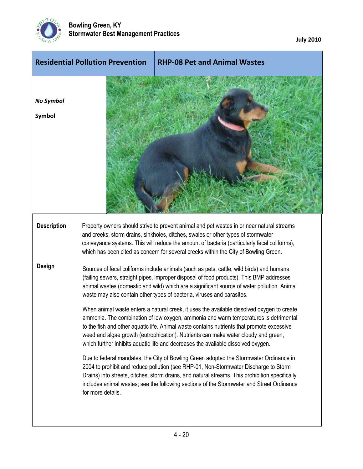

**July 2010**

|                            | <b>Residential Pollution Prevention</b>                                                                                                                                                                                                                                                                                                                                                                                                                                                                                                                                                                                                                                                                                                                                                                                                                                                                                                                                                                                                                                                                                                                                                                                             | <b>RHP-08 Pet and Animal Wastes</b>                                                                                                                                                                                                                                                                                                                                   |  |
|----------------------------|-------------------------------------------------------------------------------------------------------------------------------------------------------------------------------------------------------------------------------------------------------------------------------------------------------------------------------------------------------------------------------------------------------------------------------------------------------------------------------------------------------------------------------------------------------------------------------------------------------------------------------------------------------------------------------------------------------------------------------------------------------------------------------------------------------------------------------------------------------------------------------------------------------------------------------------------------------------------------------------------------------------------------------------------------------------------------------------------------------------------------------------------------------------------------------------------------------------------------------------|-----------------------------------------------------------------------------------------------------------------------------------------------------------------------------------------------------------------------------------------------------------------------------------------------------------------------------------------------------------------------|--|
| <b>No Symbol</b><br>Symbol |                                                                                                                                                                                                                                                                                                                                                                                                                                                                                                                                                                                                                                                                                                                                                                                                                                                                                                                                                                                                                                                                                                                                                                                                                                     |                                                                                                                                                                                                                                                                                                                                                                       |  |
| <b>Description</b>         |                                                                                                                                                                                                                                                                                                                                                                                                                                                                                                                                                                                                                                                                                                                                                                                                                                                                                                                                                                                                                                                                                                                                                                                                                                     | Property owners should strive to prevent animal and pet wastes in or near natural streams<br>and creeks, storm drains, sinkholes, ditches, swales or other types of stormwater<br>conveyance systems. This will reduce the amount of bacteria (particularly fecal coliforms),<br>which has been cited as concern for several creeks within the City of Bowling Green. |  |
| <b>Design</b>              | Sources of fecal coliforms include animals (such as pets, cattle, wild birds) and humans<br>(failing sewers, straight pipes, improper disposal of food products). This BMP addresses<br>animal wastes (domestic and wild) which are a significant source of water pollution. Animal<br>waste may also contain other types of bacteria, viruses and parasites.<br>When animal waste enters a natural creek, it uses the available dissolved oxygen to create<br>ammonia. The combination of low oxygen, ammonia and warm temperatures is detrimental<br>to the fish and other aquatic life. Animal waste contains nutrients that promote excessive<br>weed and algae growth (eutrophication). Nutrients can make water cloudy and green,<br>which further inhibits aquatic life and decreases the available dissolved oxygen.<br>Due to federal mandates, the City of Bowling Green adopted the Stormwater Ordinance in<br>2004 to prohibit and reduce pollution (see RHP-01, Non-Stormwater Discharge to Storm<br>Drains) into streets, ditches, storm drains, and natural streams. This prohibition specifically<br>includes animal wastes; see the following sections of the Stormwater and Street Ordinance<br>for more details. |                                                                                                                                                                                                                                                                                                                                                                       |  |
|                            |                                                                                                                                                                                                                                                                                                                                                                                                                                                                                                                                                                                                                                                                                                                                                                                                                                                                                                                                                                                                                                                                                                                                                                                                                                     |                                                                                                                                                                                                                                                                                                                                                                       |  |